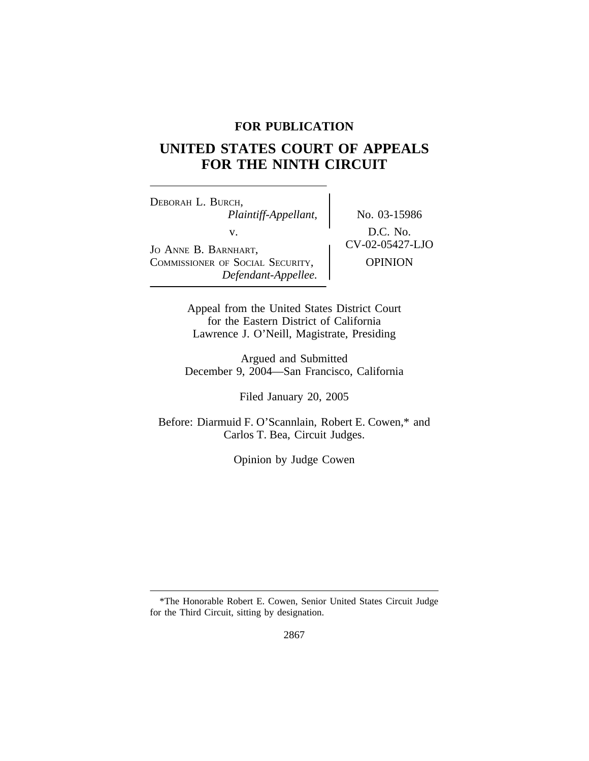## **FOR PUBLICATION**

# **UNITED STATES COURT OF APPEALS FOR THE NINTH CIRCUIT**

<sup>D</sup>EBORAH L. BURCH, *Plaintiff-Appellant,* No. 03-15986 V.<br>
JO ANNE B. BARNHART, CV-02-05427-LJO COMMISSIONER OF SOCIAL SECURITY, | OPINION *Defendant-Appellee.*

Appeal from the United States District Court for the Eastern District of California Lawrence J. O'Neill, Magistrate, Presiding

Argued and Submitted December 9, 2004—San Francisco, California

Filed January 20, 2005

Before: Diarmuid F. O'Scannlain, Robert E. Cowen,\* and Carlos T. Bea, Circuit Judges.

Opinion by Judge Cowen

<sup>\*</sup>The Honorable Robert E. Cowen, Senior United States Circuit Judge for the Third Circuit, sitting by designation.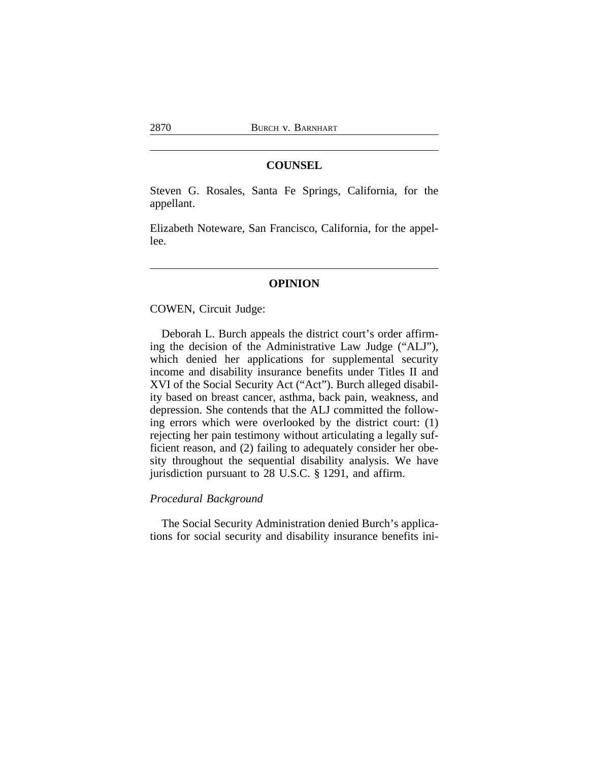## **COUNSEL**

Steven G. Rosales, Santa Fe Springs, California, for the appellant.

Elizabeth Noteware, San Francisco, California, for the appellee.

#### **OPINION**

COWEN, Circuit Judge:

Deborah L. Burch appeals the district court's order affirming the decision of the Administrative Law Judge ("ALJ"), which denied her applications for supplemental security income and disability insurance benefits under Titles II and XVI of the Social Security Act ("Act"). Burch alleged disability based on breast cancer, asthma, back pain, weakness, and depression. She contends that the ALJ committed the following errors which were overlooked by the district court: (1) rejecting her pain testimony without articulating a legally sufficient reason, and (2) failing to adequately consider her obesity throughout the sequential disability analysis. We have jurisdiction pursuant to 28 U.S.C. § 1291, and affirm.

## *Procedural Background*

The Social Security Administration denied Burch's applications for social security and disability insurance benefits ini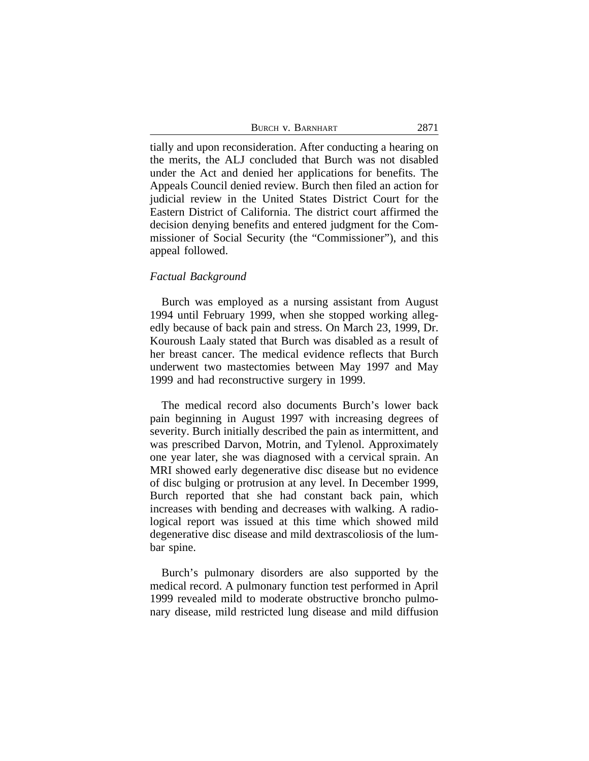BURCH V. BARNHART 2871

tially and upon reconsideration. After conducting a hearing on the merits, the ALJ concluded that Burch was not disabled under the Act and denied her applications for benefits. The Appeals Council denied review. Burch then filed an action for judicial review in the United States District Court for the Eastern District of California. The district court affirmed the decision denying benefits and entered judgment for the Commissioner of Social Security (the "Commissioner"), and this appeal followed.

#### *Factual Background*

Burch was employed as a nursing assistant from August 1994 until February 1999, when she stopped working allegedly because of back pain and stress. On March 23, 1999, Dr. Kouroush Laaly stated that Burch was disabled as a result of her breast cancer. The medical evidence reflects that Burch underwent two mastectomies between May 1997 and May 1999 and had reconstructive surgery in 1999.

The medical record also documents Burch's lower back pain beginning in August 1997 with increasing degrees of severity. Burch initially described the pain as intermittent, and was prescribed Darvon, Motrin, and Tylenol. Approximately one year later, she was diagnosed with a cervical sprain. An MRI showed early degenerative disc disease but no evidence of disc bulging or protrusion at any level. In December 1999, Burch reported that she had constant back pain, which increases with bending and decreases with walking. A radiological report was issued at this time which showed mild degenerative disc disease and mild dextrascoliosis of the lumbar spine.

Burch's pulmonary disorders are also supported by the medical record. A pulmonary function test performed in April 1999 revealed mild to moderate obstructive broncho pulmonary disease, mild restricted lung disease and mild diffusion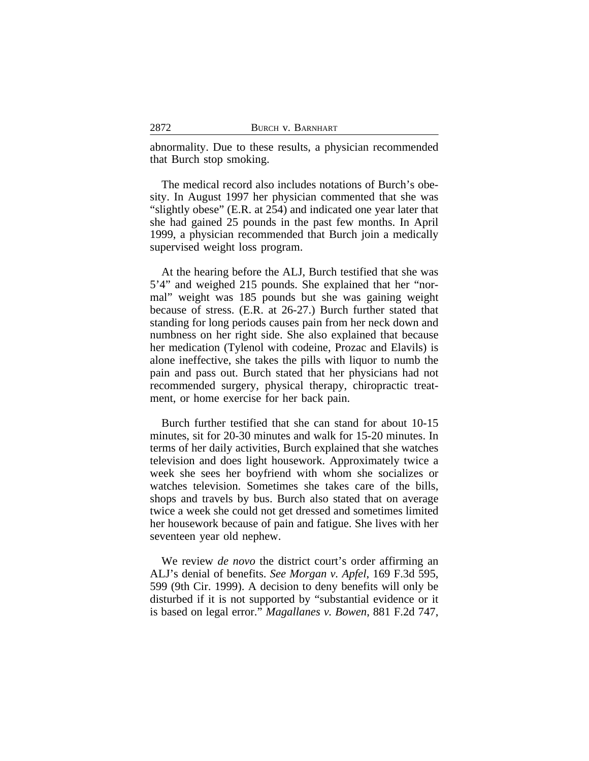abnormality. Due to these results, a physician recommended that Burch stop smoking.

The medical record also includes notations of Burch's obesity. In August 1997 her physician commented that she was "slightly obese" (E.R. at 254) and indicated one year later that she had gained 25 pounds in the past few months. In April 1999, a physician recommended that Burch join a medically supervised weight loss program.

At the hearing before the ALJ, Burch testified that she was 5'4" and weighed 215 pounds. She explained that her "normal" weight was 185 pounds but she was gaining weight because of stress. (E.R. at 26-27.) Burch further stated that standing for long periods causes pain from her neck down and numbness on her right side. She also explained that because her medication (Tylenol with codeine, Prozac and Elavils) is alone ineffective, she takes the pills with liquor to numb the pain and pass out. Burch stated that her physicians had not recommended surgery, physical therapy, chiropractic treatment, or home exercise for her back pain.

Burch further testified that she can stand for about 10-15 minutes, sit for 20-30 minutes and walk for 15-20 minutes. In terms of her daily activities, Burch explained that she watches television and does light housework. Approximately twice a week she sees her boyfriend with whom she socializes or watches television. Sometimes she takes care of the bills, shops and travels by bus. Burch also stated that on average twice a week she could not get dressed and sometimes limited her housework because of pain and fatigue. She lives with her seventeen year old nephew.

We review *de novo* the district court's order affirming an ALJ's denial of benefits. *See Morgan v. Apfel*, 169 F.3d 595, 599 (9th Cir. 1999). A decision to deny benefits will only be disturbed if it is not supported by "substantial evidence or it is based on legal error." *Magallanes v. Bowen*, 881 F.2d 747,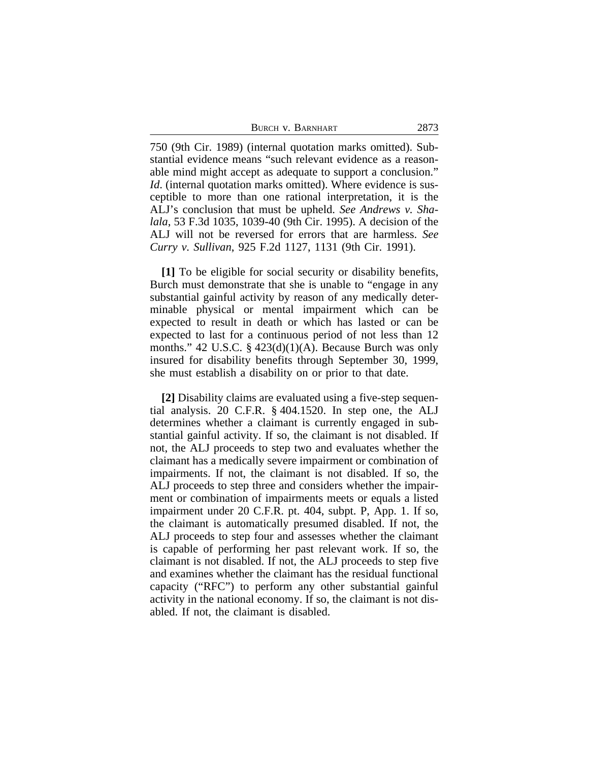| BURCH V. BARNHART | 2873 |
|-------------------|------|
|-------------------|------|

750 (9th Cir. 1989) (internal quotation marks omitted). Substantial evidence means "such relevant evidence as a reasonable mind might accept as adequate to support a conclusion." *Id.* (internal quotation marks omitted). Where evidence is susceptible to more than one rational interpretation, it is the ALJ's conclusion that must be upheld. *See Andrews v. Shalala*, 53 F.3d 1035, 1039-40 (9th Cir. 1995). A decision of the ALJ will not be reversed for errors that are harmless. *See Curry v. Sullivan*, 925 F.2d 1127, 1131 (9th Cir. 1991).

**[1]** To be eligible for social security or disability benefits, Burch must demonstrate that she is unable to "engage in any substantial gainful activity by reason of any medically determinable physical or mental impairment which can be expected to result in death or which has lasted or can be expected to last for a continuous period of not less than 12 months." 42 U.S.C. § 423(d)(1)(A). Because Burch was only insured for disability benefits through September 30, 1999, she must establish a disability on or prior to that date.

**[2]** Disability claims are evaluated using a five-step sequential analysis. 20 C.F.R. § 404.1520. In step one, the ALJ determines whether a claimant is currently engaged in substantial gainful activity. If so, the claimant is not disabled. If not, the ALJ proceeds to step two and evaluates whether the claimant has a medically severe impairment or combination of impairments. If not, the claimant is not disabled. If so, the ALJ proceeds to step three and considers whether the impairment or combination of impairments meets or equals a listed impairment under 20 C.F.R. pt. 404, subpt. P, App. 1. If so, the claimant is automatically presumed disabled. If not, the ALJ proceeds to step four and assesses whether the claimant is capable of performing her past relevant work. If so, the claimant is not disabled. If not, the ALJ proceeds to step five and examines whether the claimant has the residual functional capacity ("RFC") to perform any other substantial gainful activity in the national economy. If so, the claimant is not disabled. If not, the claimant is disabled.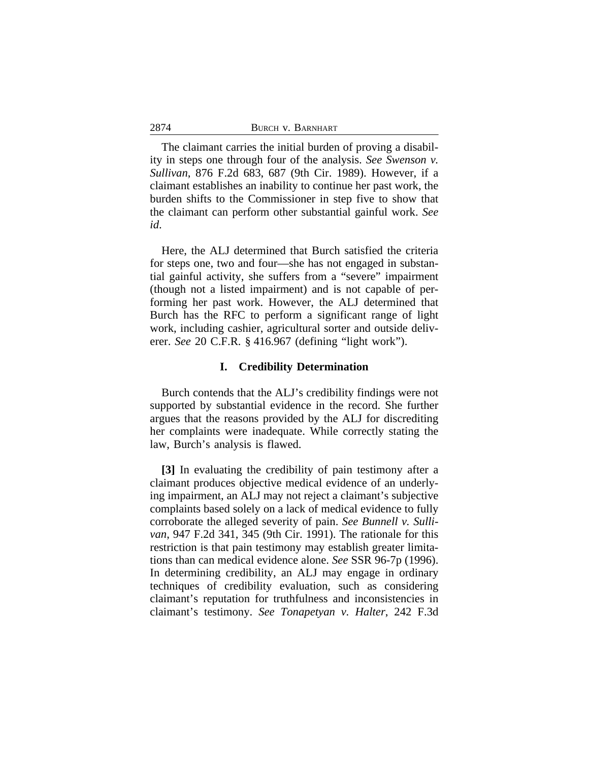| 2874 | BURCH V. BARNHART |
|------|-------------------|
|      |                   |

The claimant carries the initial burden of proving a disability in steps one through four of the analysis. *See Swenson v. Sullivan*, 876 F.2d 683, 687 (9th Cir. 1989). However, if a claimant establishes an inability to continue her past work, the burden shifts to the Commissioner in step five to show that the claimant can perform other substantial gainful work. *See id*.

Here, the ALJ determined that Burch satisfied the criteria for steps one, two and four—she has not engaged in substantial gainful activity, she suffers from a "severe" impairment (though not a listed impairment) and is not capable of performing her past work. However, the ALJ determined that Burch has the RFC to perform a significant range of light work, including cashier, agricultural sorter and outside deliverer. *See* 20 C.F.R. § 416.967 (defining "light work").

#### **I. Credibility Determination**

Burch contends that the ALJ's credibility findings were not supported by substantial evidence in the record. She further argues that the reasons provided by the ALJ for discrediting her complaints were inadequate. While correctly stating the law, Burch's analysis is flawed.

**[3]** In evaluating the credibility of pain testimony after a claimant produces objective medical evidence of an underlying impairment, an ALJ may not reject a claimant's subjective complaints based solely on a lack of medical evidence to fully corroborate the alleged severity of pain. *See Bunnell v. Sullivan*, 947 F.2d 341, 345 (9th Cir. 1991). The rationale for this restriction is that pain testimony may establish greater limitations than can medical evidence alone. *See* SSR 96-7p (1996). In determining credibility, an ALJ may engage in ordinary techniques of credibility evaluation, such as considering claimant's reputation for truthfulness and inconsistencies in claimant's testimony. *See Tonapetyan v. Halter*, 242 F.3d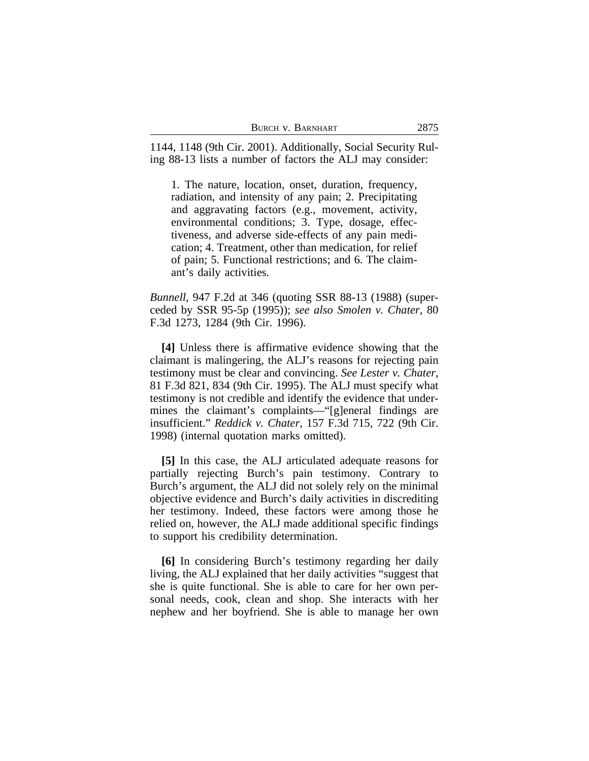| BURCH V. BARNHART | 2875 |
|-------------------|------|
|-------------------|------|

1144, 1148 (9th Cir. 2001). Additionally, Social Security Ruling 88-13 lists a number of factors the ALJ may consider:

1. The nature, location, onset, duration, frequency, radiation, and intensity of any pain; 2. Precipitating and aggravating factors (e.g., movement, activity, environmental conditions; 3. Type, dosage, effectiveness, and adverse side-effects of any pain medication; 4. Treatment, other than medication, for relief of pain; 5. Functional restrictions; and 6. The claimant's daily activities.

*Bunnell*, 947 F.2d at 346 (quoting SSR 88-13 (1988) (superceded by SSR 95-5p (1995)); *see also Smolen v. Chater*, 80 F.3d 1273, 1284 (9th Cir. 1996).

**[4]** Unless there is affirmative evidence showing that the claimant is malingering, the ALJ's reasons for rejecting pain testimony must be clear and convincing. *See Lester v. Chater*, 81 F.3d 821, 834 (9th Cir. 1995). The ALJ must specify what testimony is not credible and identify the evidence that undermines the claimant's complaints—"[g]eneral findings are insufficient." *Reddick v. Chater*, 157 F.3d 715, 722 (9th Cir. 1998) (internal quotation marks omitted).

**[5]** In this case, the ALJ articulated adequate reasons for partially rejecting Burch's pain testimony. Contrary to Burch's argument, the ALJ did not solely rely on the minimal objective evidence and Burch's daily activities in discrediting her testimony. Indeed, these factors were among those he relied on, however, the ALJ made additional specific findings to support his credibility determination.

**[6]** In considering Burch's testimony regarding her daily living, the ALJ explained that her daily activities "suggest that she is quite functional. She is able to care for her own personal needs, cook, clean and shop. She interacts with her nephew and her boyfriend. She is able to manage her own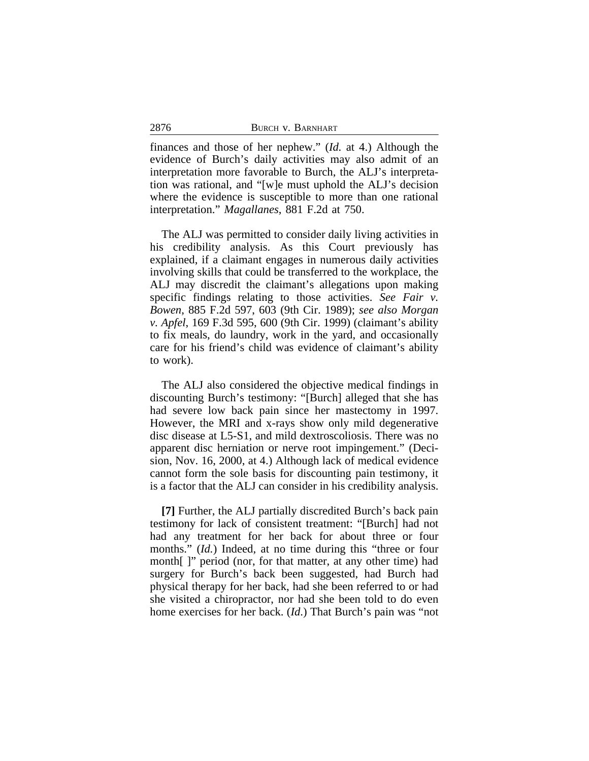finances and those of her nephew." (*Id.* at 4.) Although the evidence of Burch's daily activities may also admit of an interpretation more favorable to Burch, the ALJ's interpretation was rational, and "[w]e must uphold the ALJ's decision where the evidence is susceptible to more than one rational interpretation." *Magallanes*, 881 F.2d at 750.

The ALJ was permitted to consider daily living activities in his credibility analysis. As this Court previously has explained, if a claimant engages in numerous daily activities involving skills that could be transferred to the workplace, the ALJ may discredit the claimant's allegations upon making specific findings relating to those activities. *See Fair v. Bowen*, 885 F.2d 597, 603 (9th Cir. 1989); *see also Morgan v. Apfel*, 169 F.3d 595, 600 (9th Cir. 1999) (claimant's ability to fix meals, do laundry, work in the yard, and occasionally care for his friend's child was evidence of claimant's ability to work).

The ALJ also considered the objective medical findings in discounting Burch's testimony: "[Burch] alleged that she has had severe low back pain since her mastectomy in 1997. However, the MRI and x-rays show only mild degenerative disc disease at L5-S1, and mild dextroscoliosis. There was no apparent disc herniation or nerve root impingement." (Decision, Nov. 16, 2000, at 4.) Although lack of medical evidence cannot form the sole basis for discounting pain testimony, it is a factor that the ALJ can consider in his credibility analysis.

**[7]** Further, the ALJ partially discredited Burch's back pain testimony for lack of consistent treatment: "[Burch] had not had any treatment for her back for about three or four months." *(Id.)* Indeed, at no time during this "three or four month[ ]" period (nor, for that matter, at any other time) had surgery for Burch's back been suggested, had Burch had physical therapy for her back, had she been referred to or had she visited a chiropractor, nor had she been told to do even home exercises for her back. (*Id*.) That Burch's pain was "not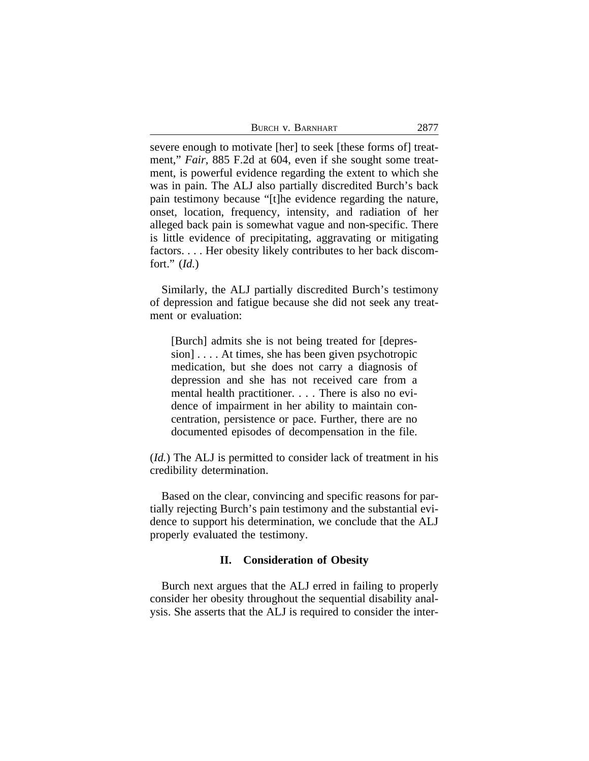| BURCH V. BARNHART | 2877 |
|-------------------|------|
|-------------------|------|

severe enough to motivate [her] to seek [these forms of] treatment," *Fair*, 885 F.2d at 604, even if she sought some treatment, is powerful evidence regarding the extent to which she was in pain. The ALJ also partially discredited Burch's back pain testimony because "[t]he evidence regarding the nature, onset, location, frequency, intensity, and radiation of her alleged back pain is somewhat vague and non-specific. There is little evidence of precipitating, aggravating or mitigating factors. . . . Her obesity likely contributes to her back discomfort." (*Id.*)

Similarly, the ALJ partially discredited Burch's testimony of depression and fatigue because she did not seek any treatment or evaluation:

[Burch] admits she is not being treated for [depression] . . . . At times, she has been given psychotropic medication, but she does not carry a diagnosis of depression and she has not received care from a mental health practitioner. . . . There is also no evidence of impairment in her ability to maintain concentration, persistence or pace. Further, there are no documented episodes of decompensation in the file.

(*Id.*) The ALJ is permitted to consider lack of treatment in his credibility determination.

Based on the clear, convincing and specific reasons for partially rejecting Burch's pain testimony and the substantial evidence to support his determination, we conclude that the ALJ properly evaluated the testimony.

### **II. Consideration of Obesity**

Burch next argues that the ALJ erred in failing to properly consider her obesity throughout the sequential disability analysis. She asserts that the ALJ is required to consider the inter-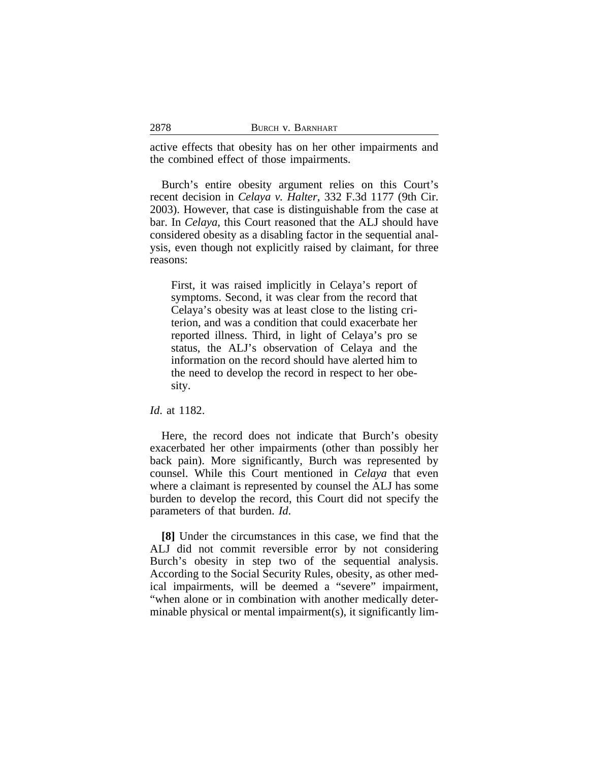| 2878 | BURCH V. BARNHART |
|------|-------------------|
|      |                   |

active effects that obesity has on her other impairments and the combined effect of those impairments.

Burch's entire obesity argument relies on this Court's recent decision in *Celaya v. Halter*, 332 F.3d 1177 (9th Cir. 2003). However, that case is distinguishable from the case at bar. In *Celaya*, this Court reasoned that the ALJ should have considered obesity as a disabling factor in the sequential analysis, even though not explicitly raised by claimant, for three reasons:

First, it was raised implicitly in Celaya's report of symptoms. Second, it was clear from the record that Celaya's obesity was at least close to the listing criterion, and was a condition that could exacerbate her reported illness. Third, in light of Celaya's pro se status, the ALJ's observation of Celaya and the information on the record should have alerted him to the need to develop the record in respect to her obesity.

*Id*. at 1182.

Here, the record does not indicate that Burch's obesity exacerbated her other impairments (other than possibly her back pain). More significantly, Burch was represented by counsel. While this Court mentioned in *Celaya* that even where a claimant is represented by counsel the ALJ has some burden to develop the record, this Court did not specify the parameters of that burden. *Id*.

**[8]** Under the circumstances in this case, we find that the ALJ did not commit reversible error by not considering Burch's obesity in step two of the sequential analysis. According to the Social Security Rules, obesity, as other medical impairments, will be deemed a "severe" impairment, "when alone or in combination with another medically determinable physical or mental impairment(s), it significantly lim-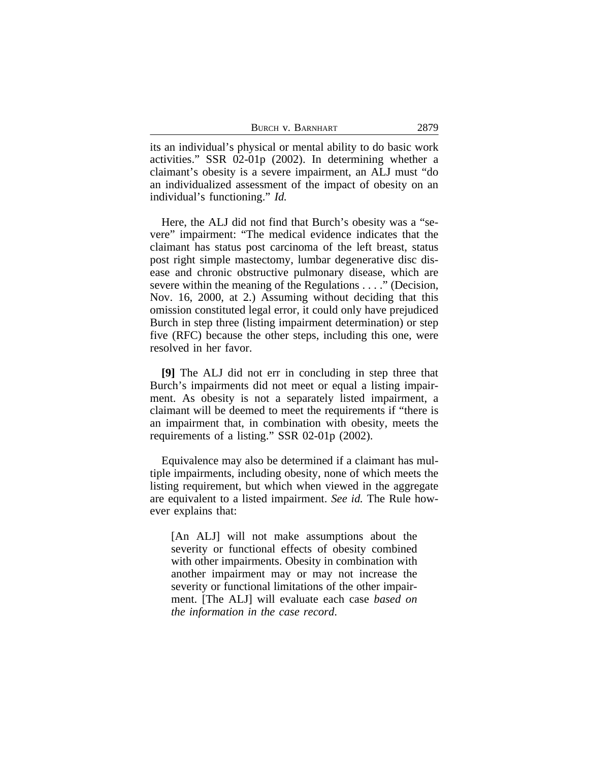| BURCH V. BARNHART | 2879 |
|-------------------|------|
|-------------------|------|

its an individual's physical or mental ability to do basic work activities." SSR 02-01p (2002). In determining whether a claimant's obesity is a severe impairment, an ALJ must "do an individualized assessment of the impact of obesity on an individual's functioning." *Id.*

Here, the ALJ did not find that Burch's obesity was a "severe" impairment: "The medical evidence indicates that the claimant has status post carcinoma of the left breast, status post right simple mastectomy, lumbar degenerative disc disease and chronic obstructive pulmonary disease, which are severe within the meaning of the Regulations . . . ." (Decision, Nov. 16, 2000, at 2.) Assuming without deciding that this omission constituted legal error, it could only have prejudiced Burch in step three (listing impairment determination) or step five (RFC) because the other steps, including this one, were resolved in her favor.

**[9]** The ALJ did not err in concluding in step three that Burch's impairments did not meet or equal a listing impairment. As obesity is not a separately listed impairment, a claimant will be deemed to meet the requirements if "there is an impairment that, in combination with obesity, meets the requirements of a listing." SSR 02-01p (2002).

Equivalence may also be determined if a claimant has multiple impairments, including obesity, none of which meets the listing requirement, but which when viewed in the aggregate are equivalent to a listed impairment. *See id.* The Rule however explains that:

[An ALJ] will not make assumptions about the severity or functional effects of obesity combined with other impairments. Obesity in combination with another impairment may or may not increase the severity or functional limitations of the other impairment. [The ALJ] will evaluate each case *based on the information in the case record*.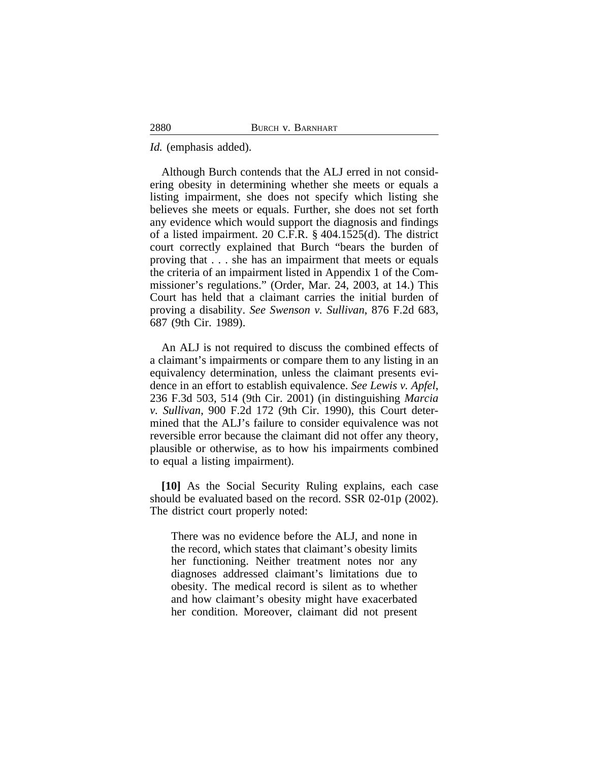*Id.* (emphasis added).

Although Burch contends that the ALJ erred in not considering obesity in determining whether she meets or equals a listing impairment, she does not specify which listing she believes she meets or equals. Further, she does not set forth any evidence which would support the diagnosis and findings of a listed impairment. 20 C.F.R. § 404.1525(d). The district court correctly explained that Burch "bears the burden of proving that . . . she has an impairment that meets or equals the criteria of an impairment listed in Appendix 1 of the Commissioner's regulations." (Order, Mar. 24, 2003, at 14.) This Court has held that a claimant carries the initial burden of proving a disability. *See Swenson v. Sullivan*, 876 F.2d 683, 687 (9th Cir. 1989).

An ALJ is not required to discuss the combined effects of a claimant's impairments or compare them to any listing in an equivalency determination, unless the claimant presents evidence in an effort to establish equivalence. *See Lewis v. Apfel*, 236 F.3d 503, 514 (9th Cir. 2001) (in distinguishing *Marcia v. Sullivan*, 900 F.2d 172 (9th Cir. 1990), this Court determined that the ALJ's failure to consider equivalence was not reversible error because the claimant did not offer any theory, plausible or otherwise, as to how his impairments combined to equal a listing impairment).

**[10]** As the Social Security Ruling explains, each case should be evaluated based on the record. SSR 02-01p (2002). The district court properly noted:

There was no evidence before the ALJ, and none in the record, which states that claimant's obesity limits her functioning. Neither treatment notes nor any diagnoses addressed claimant's limitations due to obesity. The medical record is silent as to whether and how claimant's obesity might have exacerbated her condition. Moreover, claimant did not present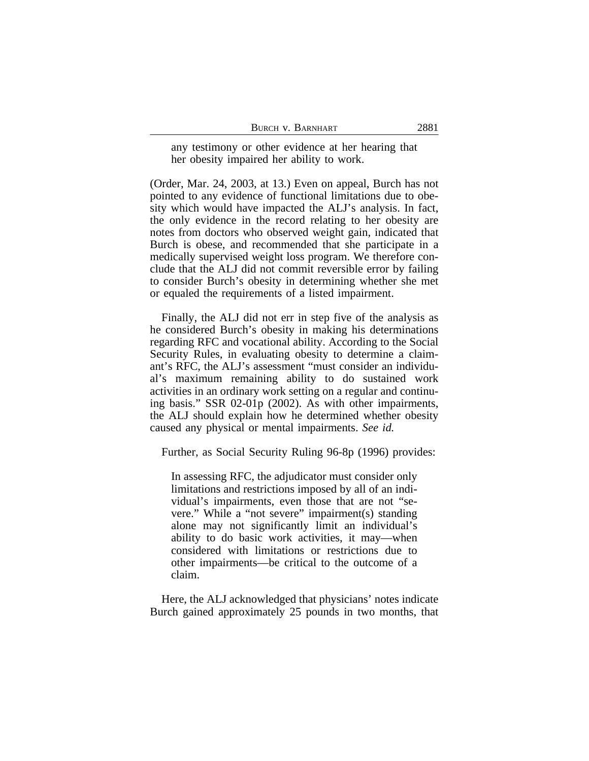| BURCH V. BARNHART | 2881 |
|-------------------|------|
|-------------------|------|

any testimony or other evidence at her hearing that her obesity impaired her ability to work.

(Order, Mar. 24, 2003, at 13.) Even on appeal, Burch has not pointed to any evidence of functional limitations due to obesity which would have impacted the ALJ's analysis. In fact, the only evidence in the record relating to her obesity are notes from doctors who observed weight gain, indicated that Burch is obese, and recommended that she participate in a medically supervised weight loss program. We therefore conclude that the ALJ did not commit reversible error by failing to consider Burch's obesity in determining whether she met or equaled the requirements of a listed impairment.

Finally, the ALJ did not err in step five of the analysis as he considered Burch's obesity in making his determinations regarding RFC and vocational ability. According to the Social Security Rules, in evaluating obesity to determine a claimant's RFC, the ALJ's assessment "must consider an individual's maximum remaining ability to do sustained work activities in an ordinary work setting on a regular and continuing basis." SSR 02-01p (2002). As with other impairments, the ALJ should explain how he determined whether obesity caused any physical or mental impairments. *See id.*

Further, as Social Security Ruling 96-8p (1996) provides:

In assessing RFC, the adjudicator must consider only limitations and restrictions imposed by all of an individual's impairments, even those that are not "severe." While a "not severe" impairment(s) standing alone may not significantly limit an individual's ability to do basic work activities, it may—when considered with limitations or restrictions due to other impairments—be critical to the outcome of a claim.

Here, the ALJ acknowledged that physicians' notes indicate Burch gained approximately 25 pounds in two months, that